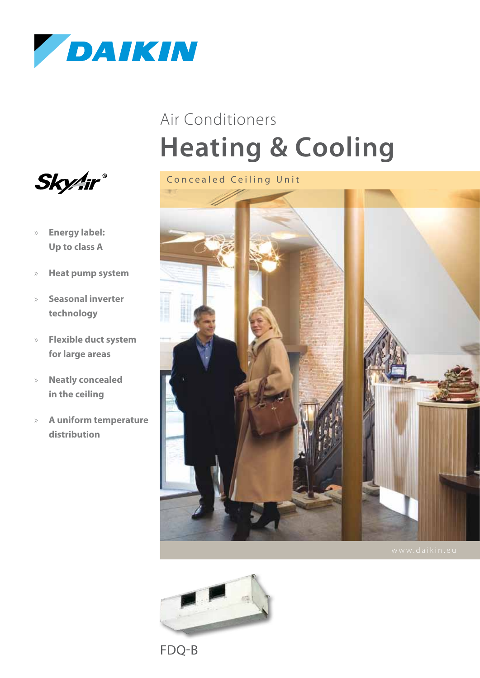

# **Heating & Cooling** Air Conditioners





- » **Energy label: Up to class A**
- » **Heat pump system**
- » **Seasonal inverter technology**
- » **Flexible duct system for large areas**
- » **Neatly concealed in the ceiling**
- » **A uniform temperature distribution**



FDQ-B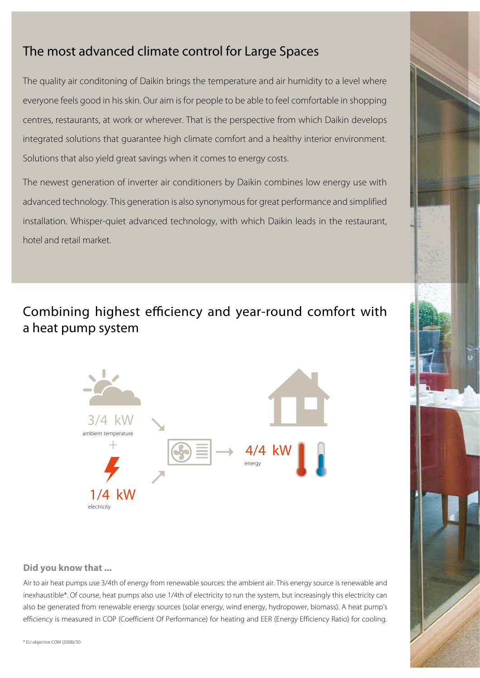### The most advanced climate control for Large Spaces

The quality air conditoning of Daikin brings the temperature and air humidity to a level where everyone feels good in his skin. Our aim is for people to be able to feel comfortable in shopping centres, restaurants, at work or wherever. That is the perspective from which Daikin develops integrated solutions that guarantee high climate comfort and a healthy interior environment. Solutions that also yield great savings when it comes to energy costs.

The newest generation of inverter air conditioners by Daikin combines low energy use with advanced technology. This generation is also synonymous for great performance and simplified installation. Whisper-quiet advanced technology, with which Daikin leads in the restaurant, hotel and retail market.

### Combining highest efficiency and year-round comfort with a heat pump system



#### **Did you know that ...**

Air to air heat pumps use 3/4th of energy from renewable sources: the ambient air. This energy source is renewable and inexhaustible\*. Of course, heat pumps also use 1/4th of electricity to run the system, but increasingly this electricity can also be generated from renewable energy sources (solar energy, wind energy, hydropower, biomass). A heat pump's efficiency is measured in COP (Coefficient Of Performance) for heating and EER (Energy Efficiency Ratio) for cooling.

\* EU objective COM (2008)/30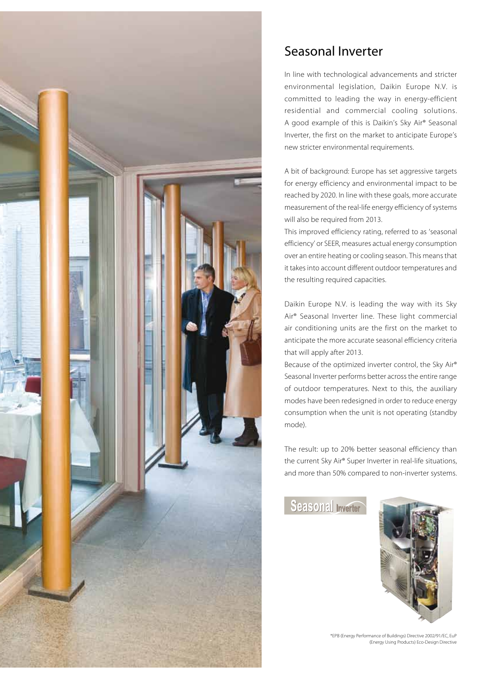

### Seasonal Inverter

In line with technological advancements and stricter environmental legislation, Daikin Europe N.V. is committed to leading the way in energy-efficient residential and commercial cooling solutions. A good example of this is Daikin's Sky Air® Seasonal Inverter, the first on the market to anticipate Europe's new stricter environmental requirements.

A bit of background: Europe has set aggressive targets for energy efficiency and environmental impact to be reached by 2020. In line with these goals, more accurate measurement of the real-life energy efficiency of systems will also be required from 2013.

This improved efficiency rating, referred to as 'seasonal efficiency' or SEER, measures actual energy consumption over an entire heating or cooling season. This means that it takes into account different outdoor temperatures and the resulting required capacities.

Daikin Europe N.V. is leading the way with its Sky Air® Seasonal Inverter line. These light commercial air conditioning units are the first on the market to anticipate the more accurate seasonal efficiency criteria that will apply after 2013.

Because of the optimized inverter control, the Sky Air® Seasonal Inverter performs better across the entire range of outdoor temperatures. Next to this, the auxiliary modes have been redesigned in order to reduce energy consumption when the unit is not operating (standby mode).

The result: up to 20% better seasonal efficiency than the current Sky Air® Super Inverter in real-life situations, and more than 50% compared to non-inverter systems.

Seasonal Inverter

![](_page_2_Picture_9.jpeg)

\*EPB (Energy Performance of Buildings) Directive 2002/91/EC, EuP (Energy Using Products) Eco-Design Directive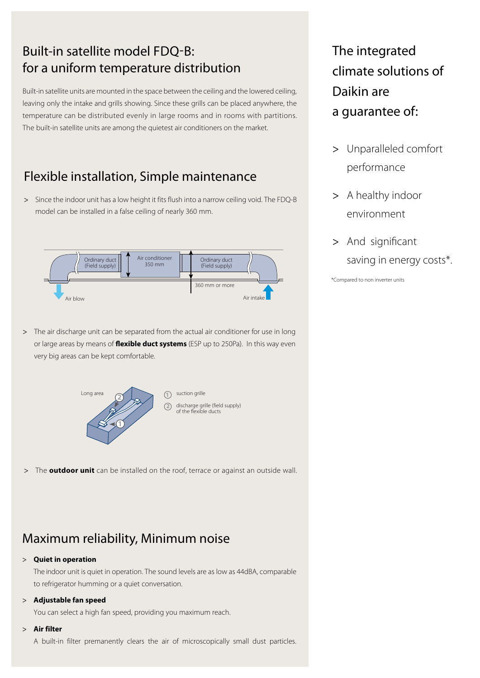### Built-in satellite model FDO-B: for a uniform temperature distribution

Built-in satellite units are mounted in the space between the ceiling and the lowered ceiling, leaving only the intake and grills showing. Since these grills can be placed anywhere, the temperature can be distributed evenly in large rooms and in rooms with partitions. The built-in satellite units are among the quietest air conditioners on the market.

### Flexible installation, Simple maintenance

> Since the indoor unit has a low height it fits flush into a narrow ceiling void. The FDQ-B model can be installed in a false ceiling of nearly 360 mm.

![](_page_3_Figure_4.jpeg)

> The air discharge unit can be separated from the actual air conditioner for use in long or large areas by means of **flexible duct systems** (ESP up to 250Pa). In this way even very big areas can be kept comfortable.

![](_page_3_Picture_6.jpeg)

> The **outdoor unit** can be installed on the roof, terrace or against an outside wall.

### Maximum reliability, Minimum noise

#### > **Quiet in operation**

The indoor unit is quiet in operation. The sound levels are as low as 44dBA, comparable to refrigerator humming or a quiet conversation.

#### > **Adjustable fan speed**

You can select a high fan speed, providing you maximum reach.

#### > **Air filter**

A built-in filter premanently clears the air of microscopically small dust particles.

The integrated climate solutions of Daikin are a guarantee of:

- > Unparalleled comfort performance
- > A healthy indoor environment
- > And significant saving in energy costs\*.

\*Compared to non inverter units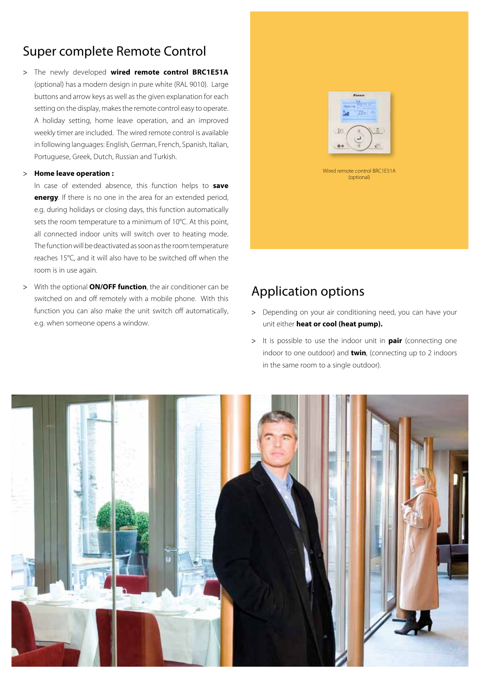### Super complete Remote Control

> The newly developed **wired remote control BRC1E51A** (optional) has a modern design in pure white (RAL 9010). Large buttons and arrow keys as well as the given explanation for each setting on the display, makes the remote control easy to operate. A holiday setting, home leave operation, and an improved weekly timer are included. The wired remote control is available in following languages: English, German, French, Spanish, Italian, Portuguese, Greek, Dutch, Russian and Turkish.

#### > **Home leave operation :**

In case of extended absence, this function helps to **save energy**. If there is no one in the area for an extended period, e.g. during holidays or closing days, this function automatically sets the room temperature to a minimum of 10°C. At this point, all connected indoor units will switch over to heating mode. The function will be deactivated as soon as the room temperature reaches 15°C, and it will also have to be switched off when the room is in use again.

> With the optional **ON/OFF function**, the air conditioner can be switched on and off remotely with a mobile phone. With this function you can also make the unit switch off automatically, e.g. when someone opens a window.

![](_page_4_Picture_5.jpeg)

### Application options

- > Depending on your air conditioning need, you can have your unit either **heat or cool (heat pump).**
- > It is possible to use the indoor unit in **pair** (connecting one indoor to one outdoor) and **twin**, (connecting up to 2 indoors in the same room to a single outdoor).

![](_page_4_Picture_9.jpeg)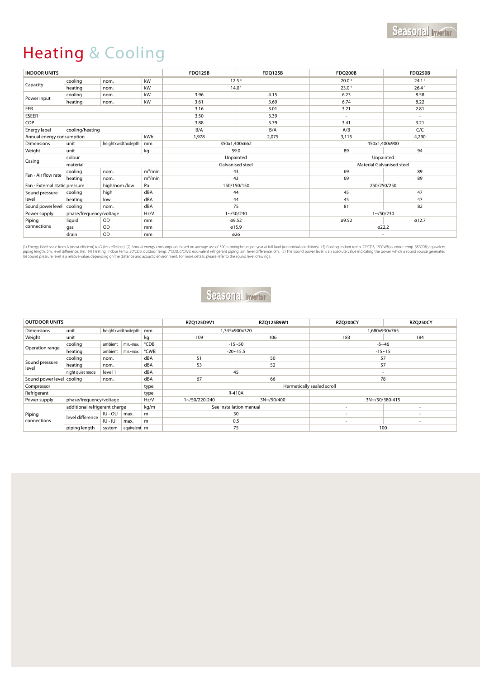## Heating & Cooling

| <b>INDOOR UNITS</b>                                   |                                 |                    |               | <b>FDQ125B</b>    | <b>FDQ125B</b> | <b>FDQ200B</b>            | <b>FDQ250B</b>    |
|-------------------------------------------------------|---------------------------------|--------------------|---------------|-------------------|----------------|---------------------------|-------------------|
| Capacity                                              | cooling                         | nom.               | kW            | 12.5 <sup>3</sup> |                | 20.0 <sup>3</sup>         | 24.1 <sup>3</sup> |
|                                                       | heating                         | nom.               | kW            | 14.0 <sup>4</sup> |                | 23.04                     | 26.44             |
| Power input                                           | cooling                         | nom.               | kW            | 3.96              | 4.15           | 6.23                      | 8.58              |
|                                                       | heating                         | nom.               | kW            | 3.61              | 3.69           | 6.74                      | 8.22              |
| EER                                                   |                                 |                    |               | 3.16              | 3.01           | 3.21                      | 2.81              |
| ESEER                                                 |                                 |                    |               | 3.50              | 3.39           | $\sim$                    | $\sim$            |
| COP                                                   |                                 |                    |               | 3.88              | 3.79           | 3.41                      | 3.21              |
| Energy label                                          | cooling/heating                 |                    |               | B/A               | B/A            | A/B                       | C/C               |
| Annual energy consumption                             |                                 |                    | kWh           | 1,978             | 2,075          | 3,115                     | 4,290             |
| <b>Dimensions</b>                                     | unit                            | heightxwidthxdepth | mm            | 350x1,400x662     |                | 450x1,400x900             |                   |
| Weight                                                | unit                            |                    | kg            | 59.0              |                | 89                        | 94                |
|                                                       | colour                          |                    |               | Unpainted         |                | Unpainted                 |                   |
| Casing                                                | material                        |                    |               | Galvanised steel  |                | Material Galvanised steel |                   |
| Fan - Air flow rate                                   | cooling                         | nom.               | $m^3/m$ in    | 43                |                | 69                        | 89                |
|                                                       | heating                         | nom.               | $m^3/m$ in    | 43                |                | 69                        | 89                |
| high/nom./low<br>Pa<br>Fan - External static pressure |                                 |                    |               | 150/150/150       |                | 250/250/250               |                   |
| Sound pressure                                        | cooling                         | high               | dBA           | 44                |                | 45                        | 47                |
| level                                                 | heating                         | low                | dBA           | 44                |                | 45                        | 47                |
| Sound power level                                     | cooling                         | nom.               | dBA           | 75                |                | 81                        | 82                |
| Power supply                                          | phase/frequency/voltage<br>Hz/V |                    | $1 - 50/230$  |                   | $1 - 50/230$   |                           |                   |
| Piping<br>connections                                 | liquid                          | OD                 | mm            | ø9.52             |                | ø9.52                     | ø12.7             |
|                                                       | gas                             | OD                 | <sub>mm</sub> | ø15.9             |                | ø22.2                     |                   |
|                                                       | drain                           | OD                 | <sub>mm</sub> | ø26               |                | $\sim$                    |                   |

(1) Energy label: scale from A (most efficient) to G (less efficient). (2) Annual energy consumption: based on average use of 500 running hours per year at full load (= nominal conditions). (3) Cooling: indoor temp. 27°CDB

### Seasonal Inverter

| <b>OUTDOOR UNITS</b>      |                               |                      |      |                            | RZO125D9V1              | RZO125B9W1 | <b>RZQ200CY</b>          | <b>RZQ250CY</b>          |
|---------------------------|-------------------------------|----------------------|------|----------------------------|-------------------------|------------|--------------------------|--------------------------|
| <b>Dimensions</b>         | unit                          | heightxwidthxdepth   |      | mm                         | 1.345x900x320           |            | 1.680x930x765            |                          |
| Weight                    | unit                          |                      |      | kg                         | 109                     | 106        | 183                      | 184                      |
| Operation range           | cooling                       | ambient<br>min.~max. |      | °CDB                       | $-15 - 50$              |            | $-5 - 46$                |                          |
|                           | heating                       | ambient   min.~max.  |      | °CWB                       | $-20 - 15.5$            |            | $-15 - 15$               |                          |
| Sound pressure<br>level   | cooling                       | nom.                 |      | dBA                        | 51                      | 50         | 57                       |                          |
|                           | heating                       | nom.                 |      | dBA                        | 53                      | 52         | 57                       |                          |
|                           | night quiet mode              | level 1              |      | dBA                        | 45                      |            | $\overline{\phantom{a}}$ |                          |
| Sound power level cooling |                               | nom.                 |      | dBA                        | 67                      | 66         | 78                       |                          |
| Compressor<br>type        |                               |                      |      | Hermetically sealed scroll |                         |            |                          |                          |
| Refrigerant<br>type       |                               |                      |      | R-410A                     |                         |            |                          |                          |
| Power supply              | phase/frequency/voltage       |                      |      | Hz/V                       | 1~/50/220-240           | 3N~/50/400 |                          | 3N~/50/380-415           |
| Piping<br>connections     | additional refrigerant charge |                      |      | kg/m                       | See installation manual |            | $\sim$                   | $\overline{\phantom{a}}$ |
|                           | level difference              | $IU - OU$            | max. | m                          | 30                      |            |                          |                          |
|                           |                               | $ U - I $            | max. | m                          |                         | 0.5        |                          | $\overline{\phantom{a}}$ |
|                           | piping length                 | system               |      | 75<br>equivalent m         |                         |            | 100                      |                          |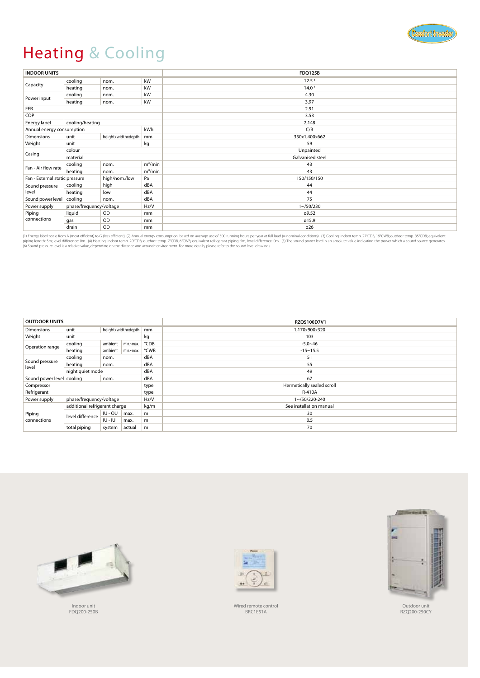![](_page_6_Picture_0.jpeg)

# Heating & Cooling

| <b>INDOOR UNITS</b>                             |            |                    |              | <b>FDQ125B</b>    |  |  |
|-------------------------------------------------|------------|--------------------|--------------|-------------------|--|--|
|                                                 | cooling    | nom.               | kW           | 12.5 <sup>3</sup> |  |  |
| Capacity                                        | heating    | nom.               | kW           | 14.0 <sup>4</sup> |  |  |
| Power input                                     | cooling    | nom.               | kW           | 4.30              |  |  |
|                                                 | heating    | nom.               | kW           | 3.97              |  |  |
| EER                                             |            |                    |              | 2.91              |  |  |
| COP                                             |            |                    |              | 3.53              |  |  |
| cooling/heating<br>Energy label                 |            |                    |              | 2,148             |  |  |
| kWh<br>Annual energy consumption                |            |                    | C/B          |                   |  |  |
| Dimensions                                      | unit       | heightxwidthxdepth | mm           | 350x1,400x662     |  |  |
| Weight                                          | kg<br>unit |                    |              | 59                |  |  |
| colour                                          |            |                    | Unpainted    |                   |  |  |
| Casing                                          | material   |                    |              | Galvanised steel  |  |  |
| Fan - Air flow rate                             | cooling    | nom.               | $m^3/m$ in   | 43                |  |  |
|                                                 | heating    | nom.               | $m^3/m$ in   | 43                |  |  |
| Fan - External static pressure<br>high/nom./low |            | Pa                 | 150/150/150  |                   |  |  |
| Sound pressure                                  | cooling    | high               | dBA          | 44                |  |  |
| level                                           | heating    | low                | dBA          | 44                |  |  |
| Sound power level                               | cooling    | nom.               | dBA          | 75                |  |  |
| phase/frequency/voltage<br>Hz/V<br>Power supply |            |                    | $1 - 50/230$ |                   |  |  |
| Piping<br>connections                           | liquid     | OD                 | mm           | ø9.52             |  |  |
|                                                 | gas        | OD                 | mm           | ø15.9             |  |  |
|                                                 | drain      | OD                 | mm           | ø26               |  |  |

(1) Energy label: scale from A (most efficient) to G (less efficient). (2) Annual energy consumption: based on average use of 500 running hours per year at full load (= nominal conditions). (3) Cooling: indoor temp. 27°CDB

| <b>OUTDOOR UNITS</b>              |                               |                    |                     |               | RZOS100D7V1                |  |  |
|-----------------------------------|-------------------------------|--------------------|---------------------|---------------|----------------------------|--|--|
| <b>Dimensions</b>                 | unit                          | heightxwidthxdepth |                     | mm            | 1.170x900x320              |  |  |
| Weight                            | unit                          |                    |                     | kg            | 103                        |  |  |
| Operation range                   | cooling                       | ambient            | min.~max.           | °CDB          | $-5.0 - 46$                |  |  |
|                                   | heating                       |                    | ambient   min.~max. | °CWB          | $-15 - 15.5$               |  |  |
| cooling<br>nom.                   |                               |                    | dBA                 | 51            |                            |  |  |
| Sound pressure<br>level           | heating                       | nom.               |                     | dBA           | 55                         |  |  |
|                                   | night quiet mode              |                    |                     | dBA           | 49                         |  |  |
| Sound power level cooling<br>nom. |                               |                    |                     | dBA           | 67                         |  |  |
| Compressor                        |                               |                    |                     | type          | Hermetically sealed scroll |  |  |
| Refrigerant                       |                               |                    |                     | type          | R-410A                     |  |  |
| Power supply                      | phase/frequency/voltage       |                    | Hz/V                | 1~/50/220-240 |                            |  |  |
|                                   | additional refrigerant charge |                    |                     | kg/m          | See installation manual    |  |  |
| Piping<br>connections             | level difference              | $IU - OU$          | max.                | m             | 30                         |  |  |
|                                   |                               | $IU - IU$          | max.                | m             | 0.5                        |  |  |
|                                   | total piping                  | system             | actual              | m             | 70                         |  |  |

![](_page_6_Picture_5.jpeg)

Indoor unit FDQ200-250B

![](_page_6_Picture_7.jpeg)

Wired remote control BRC1E51A

![](_page_6_Picture_9.jpeg)

Outdoor unit RZQ200-250CY